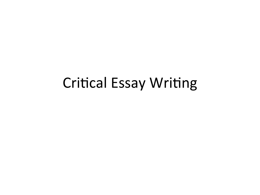#### **Critical Essay Writing**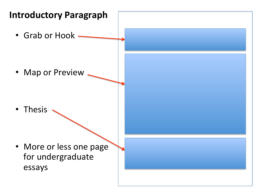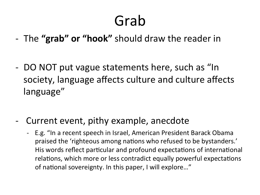#### Grab

- The "grab" or "hook" should draw the reader in
- DO NOT put vague statements here, such as "In society, language affects culture and culture affects language"
- Current event, pithy example, anecdote
	- E.g. "In a recent speech in Israel, American President Barack Obama praised the 'righteous among nations who refused to be bystanders.' His words reflect particular and profound expectations of international relations, which more or less contradict equally powerful expectations of national sovereignty. In this paper, I will explore..."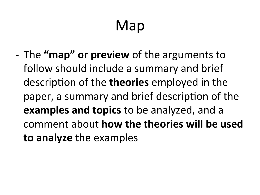## Map

- The "**map" or preview** of the arguments to follow should include a summary and brief description of the **theories** employed in the paper, a summary and brief description of the **examples and topics** to be analyzed, and a comment about **how the theories will be used** to analyze the examples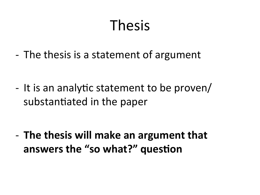#### **Thesis**

- The thesis is a statement of argument

- It is an analytic statement to be proven/ substantiated in the paper

- The thesis will make an argument that answers the "so what?" question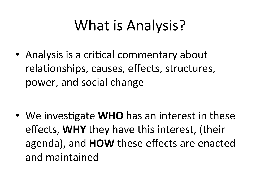## What is Analysis?

• Analysis is a critical commentary about relationships, causes, effects, structures, power, and social change

• We investigate **WHO** has an interest in these effects, WHY they have this interest, (their agenda), and **HOW** these effects are enacted and maintained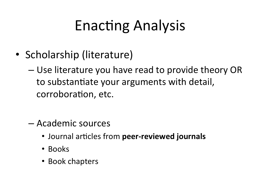#### **Enacting Analysis**

- Scholarship (literature)
	- Use literature you have read to provide theory OR to substantiate your arguments with detail, corroboration, etc.
	- Academic sources
		- Journal articles from peer-reviewed journals
		- Books
		- Book chapters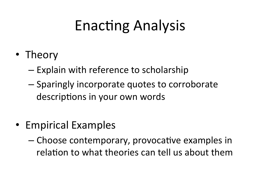#### **Enacting Analysis**

- Theory
	- Explain with reference to scholarship
	- Sparingly incorporate quotes to corroborate descriptions in your own words
- Empirical Examples
	- Choose contemporary, provocative examples in relation to what theories can tell us about them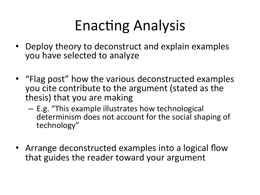## Enacting Analysis

- Deploy theory to deconstruct and explain examples you have selected to analyze
- "Flag post" how the various deconstructed examples you cite contribute to the argument (stated as the thesis) that you are making
	- $-$  E.g. "This example illustrates how technological determinism does not account for the social shaping of technology"
- Arrange deconstructed examples into a logical flow that guides the reader toward your argument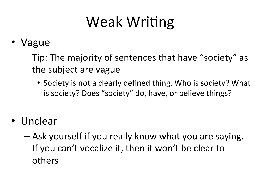## Weak Writing

- **Vague** 
	- Tip: The majority of sentences that have "society" as the subject are vague
		- Society is not a clearly defined thing. Who is society? What is society? Does "society" do, have, or believe things?
- Unclear
	- Ask yourself if you really know what you are saying. If you can't vocalize it, then it won't be clear to others(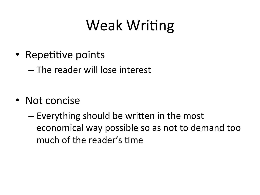## **Weak Writing**

• Repetitive points

- The reader will lose interest

- Not concise
	- Everything should be written in the most economical way possible so as not to demand too much of the reader's time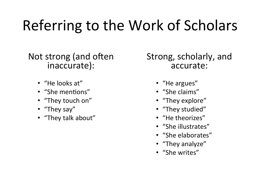## Referring to the Work of Scholars

#### Not strong (and often) inaccurate):

- "He looks at"
- "She mentions"
- "They touch on"
- "They say"
- "They talk about"

Strong, scholarly, and accurate:

- "He argues"
- "She claims"
- "They explore"
- "They studied"
- "He theorizes"
- "She illustrates"
- "She elaborates"
- "They analyze"
- "She writes"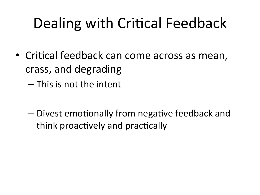## Dealing with Critical Feedback

- Critical feedback can come across as mean, crass, and degrading
	- This is not the intent
	- Divest emotionally from negative feedback and think proactively and practically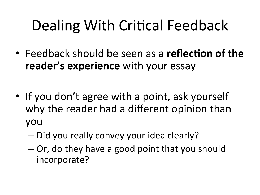## Dealing With Critical Feedback

- Feedback should be seen as a **reflection of the reader's experience** with your essay
- If you don't agree with a point, ask yourself why the reader had a different opinion than you(
	- Did you really convey your idea clearly?
	- $-$  Or, do they have a good point that you should incorporate?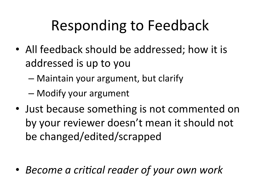#### Responding to Feedback

- All feedback should be addressed; how it is addressed is up to you
	- $-$  Maintain your argument, but clarify
	- Modify your argument
- Just because something is not commented on by your reviewer doesn't mean it should not be changed/edited/scrapped

• *Become a critical reader of your own work*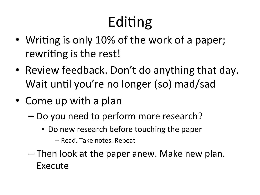# Editing

- Writing is only 10% of the work of a paper; rewriting is the rest!
- Review feedback. Don't do anything that day. Wait until you're no longer (so) mad/sad
- Come up with a plan
	- Do you need to perform more research?
		- Do new research before touching the paper
			- Read. Take notes. Repeat
	- $-$  Then look at the paper anew. Make new plan. **Execute**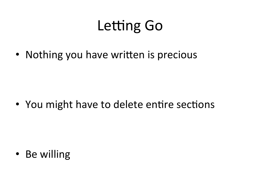#### **Letting Go**

• Nothing you have written is precious

• You might have to delete entire sections

• Be willing